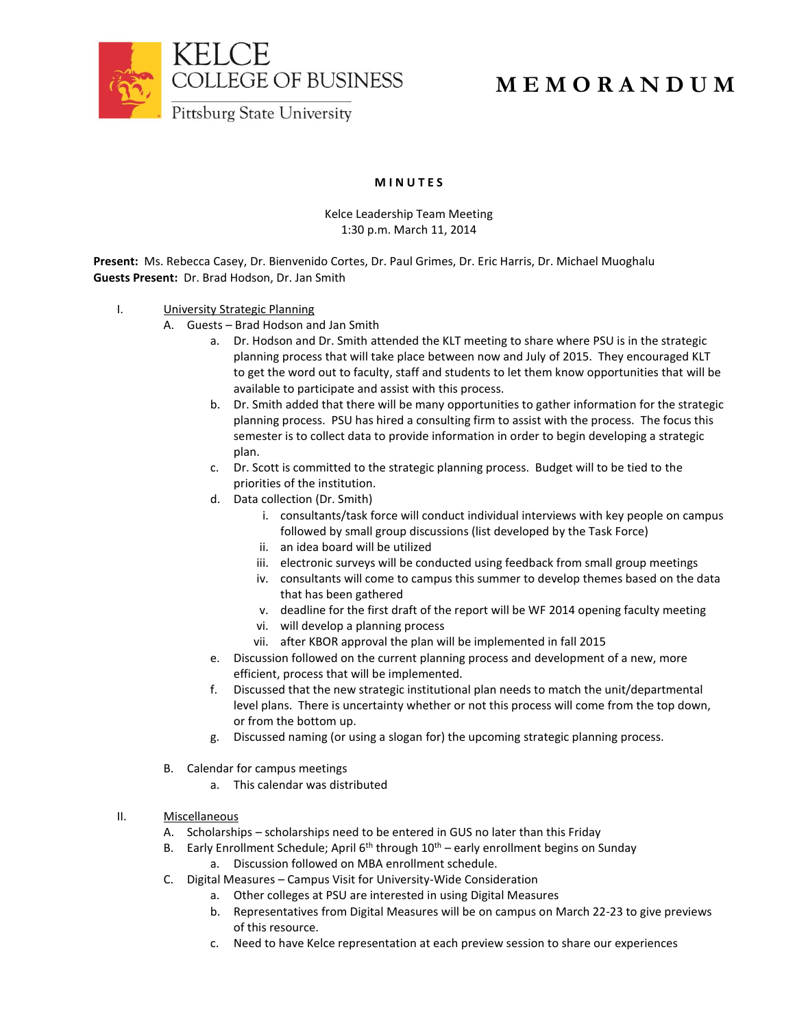

## **M I N U T E S**

## Kelce Leadership Team Meeting 1:30 p.m. March 11, 2014

**Present:** Ms. Rebecca Casey, Dr. Bienvenido Cortes, Dr. Paul Grimes, Dr. Eric Harris, Dr. Michael Muoghalu **Guests Present:** Dr. Brad Hodson, Dr. Jan Smith

- I. **University Strategic Planning** 
	- A. Guests Brad Hodson and Jan Smith
		- a. Dr. Hodson and Dr. Smith attended the KLT meeting to share where PSU is in the strategic planning process that will take place between now and July of 2015. They encouraged KLT to get the word out to faculty, staff and students to let them know opportunities that will be available to participate and assist with this process.
		- b. Dr. Smith added that there will be many opportunities to gather information for the strategic planning process. PSU has hired a consulting firm to assist with the process. The focus this semester is to collect data to provide information in order to begin developing a strategic plan.
		- c. Dr. Scott is committed to the strategic planning process. Budget will to be tied to the priorities of the institution.
		- d. Data collection (Dr. Smith)
			- i. consultants/task force will conduct individual interviews with key people on campus followed by small group discussions (list developed by the Task Force)
			- ii. an idea board will be utilized
			- iii. electronic surveys will be conducted using feedback from small group meetings
			- iv. consultants will come to campus this summer to develop themes based on the data that has been gathered
			- v. deadline for the first draft of the report will be WF 2014 opening faculty meeting
			- vi. will develop a planning process
			- vii. after KBOR approval the plan will be implemented in fall 2015
		- e. Discussion followed on the current planning process and development of a new, more efficient, process that will be implemented.
		- f. Discussed that the new strategic institutional plan needs to match the unit/departmental level plans. There is uncertainty whether or not this process will come from the top down, or from the bottom up.
		- g. Discussed naming (or using a slogan for) the upcoming strategic planning process.
	- B. Calendar for campus meetings
		- a. This calendar was distributed
- II. Miscellaneous
	- A. Scholarships scholarships need to be entered in GUS no later than this Friday
	- B. Early Enrollment Schedule; April  $6<sup>th</sup>$  through  $10<sup>th</sup>$  early enrollment begins on Sunday
		- a. Discussion followed on MBA enrollment schedule.
	- C. Digital Measures Campus Visit for University-Wide Consideration
		- a. Other colleges at PSU are interested in using Digital Measures
		- b. Representatives from Digital Measures will be on campus on March 22-23 to give previews of this resource.
		- c. Need to have Kelce representation at each preview session to share our experiences